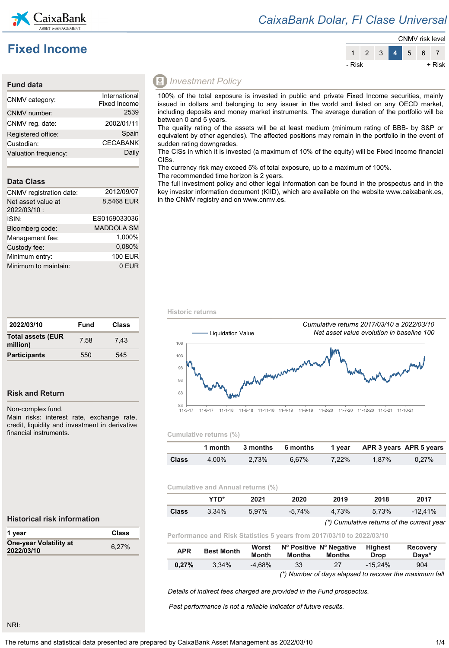

## **Fixed Income**

### *CaixaBank Dolar, FI Clase Universal*



### **Fund data**

| CNMV category:       | International<br>Fixed Income |
|----------------------|-------------------------------|
| CNMV number:         | 2539                          |
| CNMV reg. date:      | 2002/01/11                    |
| Registered office:   | Spain                         |
| Custodian:           | <b>CECABANK</b>               |
| Valuation frequency: | Daily                         |

### **Data Class**

| 2012/09/07        |
|-------------------|
| 8,5468 EUR        |
| ES0159033036      |
| <b>MADDOLA SM</b> |
| 1.000%            |
| 0,080%            |
| <b>100 EUR</b>    |
| 0 EUR             |
|                   |

| 2022/03/10                           | Fund | Class |
|--------------------------------------|------|-------|
| <b>Total assets (EUR</b><br>million) | 7.58 | 7.43  |
| <b>Participants</b>                  | 550  | 545   |

### **Risk and Return**

Non-complex fund.

Main risks: interest rate, exchange rate, credit, liquidity and investment in derivative financial instruments.

### *Investment Policy*

100% of the total exposure is invested in public and private Fixed Income securities, mainly issued in dollars and belonging to any issuer in the world and listed on any OECD market, including deposits and money market instruments. The average duration of the portfolio will be between 0 and 5 years.

The quality rating of the assets will be at least medium (minimum rating of BBB- by S&P or equivalent by other agencies). The affected positions may remain in the portfolio in the event of sudden rating downgrades.

The CISs in which it is invested (a maximum of 10% of the equity) will be Fixed Income financial CISs.

The currency risk may exceed 5% of total exposure, up to a maximum of 100%.

The recommended time horizon is 2 years.

The full investment policy and other legal information can be found in the prospectus and in the key investor information document (KIID), which are available on the website www.caixabank.es, in the CNMV registry and on www.cnmv.es.

**Historic returns**



### **Cumulative returns (%)**

|              |       |       |       |          | 1 month 3 months 6 months 1 year APR 3 years APR 5 years |          |
|--------------|-------|-------|-------|----------|----------------------------------------------------------|----------|
| <b>Class</b> | 4.00% | 2.73% | 6.67% | $7.22\%$ | $1.87\%$                                                 | $0.27\%$ |

### **Cumulative and Annual returns (%)**

|       | YTD*     | 2021  | 2020     | 2019  | 2018  | 2017       |
|-------|----------|-------|----------|-------|-------|------------|
| Class | $3.34\%$ | 5.97% | $-5.74%$ | 4.73% | 5.73% | $-12.41\%$ |

### *(\*) Cumulative returns of the current year*

**Performance and Risk Statistics 5 years from 2017/03/10 to 2022/03/10**

| <b>APR</b> | <b>Best Month</b> | Worst<br><b>Month</b> | <b>Months</b> | Nº Positive Nº Negative<br>Months | Highest<br><b>Drop</b> | <b>Recovery</b><br>Davs*                               |
|------------|-------------------|-----------------------|---------------|-----------------------------------|------------------------|--------------------------------------------------------|
| 0.27%      | 3.34%             | $-4.68\%$             | 33            | 27                                | $-15.24\%$             | 904                                                    |
|            |                   |                       |               |                                   |                        | (*) Number of days elapsed to recover the maximum fall |

*Details of indirect fees charged are provided in the Fund prospectus.*

*Past performance is not a reliable indicator of future results.*

### **Historical risk information**

| 1 year                               | Class |
|--------------------------------------|-------|
| One-year Volatility at<br>2022/03/10 | 6.27% |

NRI: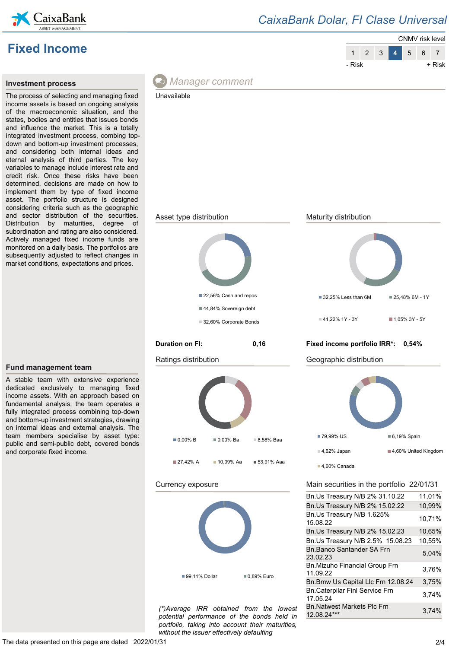

## *CaixaBank Dolar, FI Clase Universal*





### **Investment process**

The process of selecting and managing fixed income assets is based on ongoing analysis of the macroeconomic situation, and the states, bodies and entities that issues bonds and influence the market. This is a totally integrated investment process, combing topdown and bottom-up investment processes, and considering both internal ideas and eternal analysis of third parties. The key variables to manage include interest rate and credit risk. Once these risks have been determined, decisions are made on how to implement them by type of fixed income asset. The portfolio structure is designed considering criteria such as the geographic and sector distribution of the securities. Distribution by maturities, degree of subordination and rating are also considered. Actively managed fixed income funds are monitored on a daily basis. The portfolios are subsequently adjusted to reflect changes in market conditions, expectations and prices.



*potential performance of the bonds held in portfolio, taking into account their maturities, without the issuer effectively defaulting*

### **Fund management team**

A stable team with extensive experience dedicated exclusively to managing fixed income assets. With an approach based on fundamental analysis, the team operates a fully integrated process combining top-down and bottom-up investment strategies, drawing on internal ideas and external analysis. The team members specialise by asset type: public and semi-public debt, covered bonds and corporate fixed income.

BILINALWEST MAINELS PICT III 3,74%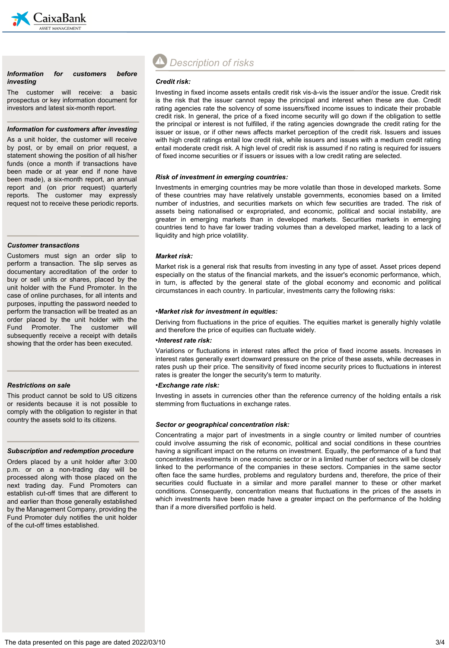

### *Information for customers before investing*

The customer will receive: a basic prospectus or key information document for investors and latest six-month report.

#### *Information for customers after investing*

As a unit holder, the customer will receive by post, or by email on prior request, a statement showing the position of all his/her funds (once a month if transactions have been made or at year end if none have been made), a six-month report, an annual report and (on prior request) quarterly reports. The customer may expressly request not to receive these periodic reports.

#### *Customer transactions*

Customers must sign an order slip to perform a transaction. The slip serves as documentary accreditation of the order to buy or sell units or shares, placed by the unit holder with the Fund Promoter. In the case of online purchases, for all intents and purposes, inputting the password needed to perform the transaction will be treated as an order placed by the unit holder with the Fund Promoter. The customer will subsequently receive a receipt with details showing that the order has been executed.

### *Restrictions on sale*

This product cannot be sold to US citizens or residents because it is not possible to comply with the obligation to register in that country the assets sold to its citizens.

#### *Subscription and redemption procedure*

Orders placed by a unit holder after 3:00 p.m. or on a non-trading day will be processed along with those placed on the next trading day. Fund Promoters can establish cut-off times that are different to and earlier than those generally established by the Management Company, providing the Fund Promoter duly notifies the unit holder of the cut-off times established.

# *Description of risks*

### *Credit risk:*

Investing in fixed income assets entails credit risk vis-à-vis the issuer and/or the issue. Credit risk is the risk that the issuer cannot repay the principal and interest when these are due. Credit rating agencies rate the solvency of some issuers/fixed income issues to indicate their probable credit risk. In general, the price of a fixed income security will go down if the obligation to settle the principal or interest is not fulfilled, if the rating agencies downgrade the credit rating for the issuer or issue, or if other news affects market perception of the credit risk. Issuers and issues with high credit ratings entail low credit risk, while issuers and issues with a medium credit rating entail moderate credit risk. A high level of credit risk is assumed if no rating is required for issuers of fixed income securities or if issuers or issues with a low credit rating are selected.

### *Risk of investment in emerging countries:*

Investments in emerging countries may be more volatile than those in developed markets. Some of these countries may have relatively unstable governments, economies based on a limited number of industries, and securities markets on which few securities are traded. The risk of assets being nationalised or expropriated, and economic, political and social instability, are greater in emerging markets than in developed markets. Securities markets in emerging countries tend to have far lower trading volumes than a developed market, leading to a lack of liquidity and high price volatility.

### *Market risk:*

Market risk is a general risk that results from investing in any type of asset. Asset prices depend especially on the status of the financial markets, and the issuer's economic performance, which, in turn, is affected by the general state of the global economy and economic and political circumstances in each country. In particular, investments carry the following risks:

### •*Market risk for investment in equities:*

Deriving from fluctuations in the price of equities. The equities market is generally highly volatile and therefore the price of equities can fluctuate widely.

### •*Interest rate risk:*

Variations or fluctuations in interest rates affect the price of fixed income assets. Increases in interest rates generally exert downward pressure on the price of these assets, while decreases in rates push up their price. The sensitivity of fixed income security prices to fluctuations in interest rates is greater the longer the security's term to maturity.

### •*Exchange rate risk:*

Investing in assets in currencies other than the reference currency of the holding entails a risk stemming from fluctuations in exchange rates.

### *Sector or geographical concentration risk:*

Concentrating a major part of investments in a single country or limited number of countries could involve assuming the risk of economic, political and social conditions in these countries having a significant impact on the returns on investment. Equally, the performance of a fund that concentrates investments in one economic sector or in a limited number of sectors will be closely linked to the performance of the companies in these sectors. Companies in the same sector often face the same hurdles, problems and regulatory burdens and, therefore, the price of their securities could fluctuate in a similar and more parallel manner to these or other market conditions. Consequently, concentration means that fluctuations in the prices of the assets in which investments have been made have a greater impact on the performance of the holding than if a more diversified portfolio is held.